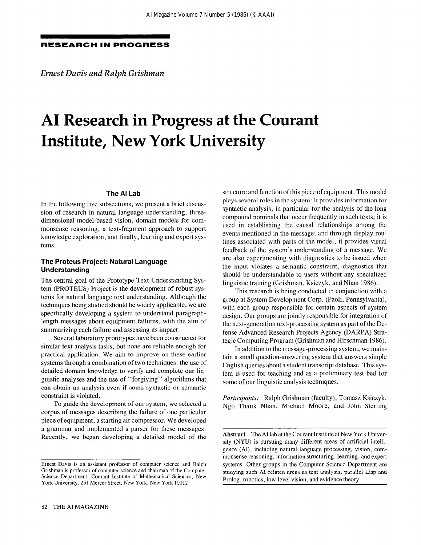#### RESEARCH IN PROGRESS

Ernest Davis and Ralph Grishman

# AI Research in Progress at the Courant Institute, New York University

#### The Al Lab

In the following five subsections, we present a brief discussion of research in natural language understanding, threedimensional model-based vision, domain models for commonsense reasoning, a text-fragment approach to support knowledge exploration, and finally, learning and expert systems.

# The Proteus Project: Natural Language Understanding

The central goal of the Prototype Text Understanding System (PROTEUS) Project is the development of robust systems for natural language text understanding. Although the techniques being studied should be widely applicable, we are specifically developing a system to understand paragraphlength messages about equipment failures, with the aim of summarizing each failure and assessing its impact.

Several laboratory prototypes have been constructed for similar text analysis tasks, but none are reliable enough for practical application. We aim to improve on these earlier systems through a combination of two techniques: the use of detailed domain knowledge to verify and complete our linguistic analyses and the use of "forgiving" algorithms that can obtain an analysis even if some syntactic or semantic constraint is violated.

To guide the development of our system, we selected a corpus of messages describing the failure of one particular piece of equipment, a starting air compressor. We developed a grammar and implemented a parser for these messages. Recently, we began developing a detailed model of the

structure and function of this piece of equipment. This model plays several roles in the system: It provides information for syntactic analysis, in particular for the analysis of the long compound nominals that occur frequently in such texts; it is used in establishing the causal relationships among the events mentioned in the message; and through display routines associated with parts of the model, it provides visual feedback of the system's understanding of a message. We are also experimenting with diagnostics to be issued when the input violates a semantic constraint, diagnostics that should be understandable to users without any specialized linguistic training (Grishman, Ksiezyk, and Nhan 1986).

This research is being conducted in conjunction with a group at System Development Corp. (Paoli, Pennsylvania), with each group responsible for certain aspects of system design. Our groups are jointly responsible for integration of the next-generation text-processing system as part of the Defense Advanced Research Projects Agency (DARPA) Strategic Computing Program (Grishman and Hirschman 1986).

In addition to the message-processing system, we maintain a small question-answering system that answers simple English queries about a student transcript database This system is used for teaching and as a preliminary test bed for some of our linguistic analysis techniques.

Participants: Ralph Grishman (faculty); Tomasz Ksiezyk, Ngo Thank Nhan, Michael Moore, and John Sterling

Ernest Davis is an assistant professor of computer science and Ralph Grishman is professor of computet science and chairman of the Computet Science Department, Courant Institute of Mathematical Sciences, New York University, 251 Mercer Street, New York, New York 10012

Abstract The AI lab at the Courant Institute at New York University (NYU) is pursuing many different areas of artificial intelligence (AI), including natural language processing, vision, commonsense reasoning, information structuring, learning, and expert systems. Other groups in the Computer Science Department are studying such AI-related areas as text analysis, parallel Lisp and Prolog, robotics, low-level vision, and evidence theory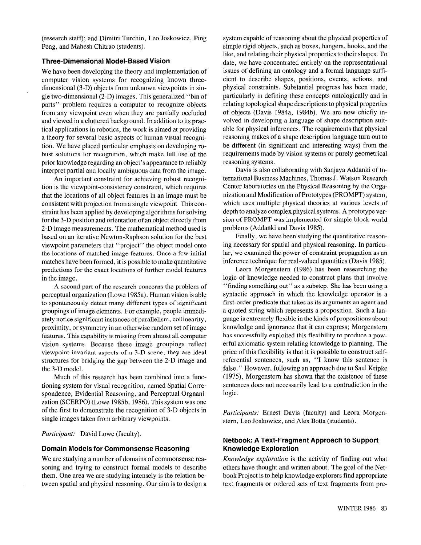(research staff); and Dimitri Turchin, Leo Joskowicz, Ping Peng, and Mahesh Chitrao (students).

#### Three-Dimensional Model-Based Vision

We have been developing the theory and implementation of computer vision systems for recognizing known threedimensional (3-D) objects from unknown viewpoints in single two-dimensional (2-D) images. This generalized "bin of parts" problem requires a computer to recognize objects from any viewpoint even when they are partially occluded and viewed in a cluttered background. In addition to its practical applications in robotics, the work is aimed at providing a theory for several basic aspects of human visual recognition. We have placed particular emphasis on developing robust solutions for recognition, which make full use of the prior knowledge regarding an object's appearance to reliably interpret partial and locally ambiguous data from the image.

An important constraint for achieving robust recognition is the viewpoint-consistency constraint, which requires that the locations of all object features in an image must be consistent with projection from a single viewpoint This constraint has been applied by developing algorithms for solving for the 3-D position and orientation of an object directly from 2-D image measurements. The mathematical method used is based on an iterative Newton-Raphson solution for the best viewpoint parameters that "project" the object model onto the locations of matched image features. Once a few initial matches have been formed, it is possible to make quantitative predictions for the exact locations of further model features in the image.

A second part of the research concerns the problem of perceptual organization (Lowe 1985a). Human vision is able to spontaneously detect many different types of significant groupings of image elements. For example, people immediately notice significant instances of parallelism, collinearity, proximity, or symmetry in an otherwise random set of image features. This capability is missing from almost all computer vision systems. Because these image groupings reflect viewpoint-invariant aspects of a 3-D scene, they are ideal structures for bridging the gap between the 2-D image and the 3-D model.

Much of this research has been combined into a functioning system for visual recognition, named Spatial Correspondence, Evidential Reasoning, and Perceptual Orgnanization (SCERPO) (Lowe 1985b, 1986). This system was one of the first to demonstrate the recognition of 3-D objects in single images taken from arbitrary viewpoints.

Participant: David Lowe (faculty).

## Domain Models for Commonsense Reasoning

We are studying a number of domains of commonsense reasoning and trying to construct formal models to describe them. One area we are studying intensely is the relation between spatial and physical reasoning. Our aim is to design a system capable of reasoning about the physical properties of simple rigid objects, such as boxes, hangers, hooks, and the like, and relating their physical properties to their shapes. To date, we have concentrated entirely on the representational issues of defining an ontology and a formal language sufficient to describe shapes, positions, events, actions, and physical constraints. Substantial progress has been made, particularly in defining these concepts ontologically and in relating topological shape descriptions to physical properties of objects (Davis 1984a, 1984b). We are now chiefly involved in developing a language of shape description suitable for physical inferences. The requirements that physical reasoning makes of a shape description language turn out to be different (in significant and interesting ways) from the requirements made by vision systems or purely geometrical reasoning systems.

Davis is also collaborating with Sanjaya Addanki of International Business Machines, Thomas J. Watson Research Center laboratories on the Physical Reasoning by the Organization and Modification of Prototypes (PROMPT) system, which uses multiple physical theories at various levels of depth to analyze complex physical systems. A prototype version of PROMPT was implemented for simple block world problems (Addanki and Davis 1985).

Finally, we have been studying the quantitative reasoning necessary for spatial and physical reasoning. In particular, we examined the power of constraint propagation as an inference technique for real-valued quantities (Davis 1985).

Leora Morgenstern (1986) has been researching the logic of knowledge needed to construct plans that involve "finding something out" as a substep. She has been using a syntactic approach in which the knowledge operator is a first-order predicate that takes as its arguments an agent and a quoted string which represents a proposition. Such a language is extremely flexible in the kinds of propositions about knowledge and ignorance that it can express; Morgenstern has successfully exploited this flexibility to produce a powerful axiomatic system relating knowledge to planning. The price of this flexibility is that it is possible to construct selfreferential sentences, such as, "I know this sentence is false." However, following an approach due to Saul Kripke (1975), Morgenstern has shown that the existence of these sentences does not necessarily lead to a contradiction in the logic.

Participants: Ernest Davis (faculty) and Leora Morgenstern, Leo Joskowicz, and Alex Botta (students).

## Netbook: A Text-Fragment Approach to Support Knowledge Exploration

Knowledge exploration is the activity of finding out what others have thought and written about. The goal of the Netbook Project is to help knowledge explorers find appropriate text fragments or ordered sets of text fragments from pre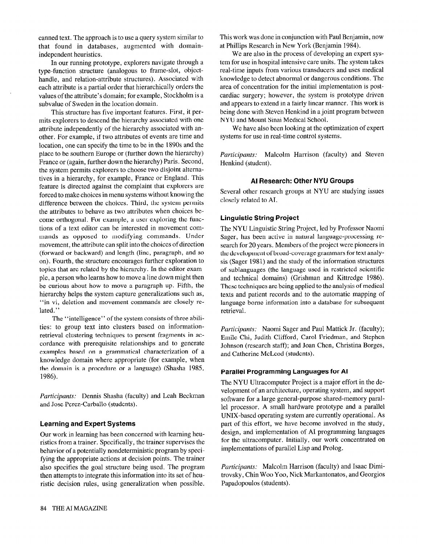canned text. The approach is to use a query system similar to that found in databases, augmented with domainindependent heuristics.

In our running prototype, explorers navigate through a type-function structure (analogous to frame-slot, objecthandle, and relation-attribute structures). Associated with each attribute is a partial order that hierarchically orders the values of the attribute's domain; for example, Stockholm is a subvalue of Sweden in the location domain.

This structure has five important features. First, it permits explorers to descend the hierarchy associated with one attribute independently of the hierarchy associated with another. For example, if two attributes of events are time and location, one can specify the time to be in the 1890s and the place to be southern Europe or (further down the hierarchy) France or (again, further down the hierarchy) Paris. Second, the system permits explorers to choose two disjoint alternatives in a hierarchy, for example, France or England. This feature is directed against the complaint that explorers are forced to make choices in menu systems without knowing the difference between the choices. Third, the system permits the attributes to behave as two attributes when choices become orthogonal. For example, a user exploring the functions of a text editor can be interested in movement commands as opposed to modifying commands. Under movement, the attribute can split into the choices of direction (forward or backward) and length (line, paragraph, and so on). Fourth, the structure encourages further exploration to topics that are related by the hierarchy. In the editor example, a person who learns how to move a line down might then be curious about how to move a paragraph up, Fifth, the hierarchy helps the system capture generalizations such as, "in vi, deletion and movement commands are closely related."

The "intelligence" of the system consists of three abilities: to group text into clusters based on informationretrieval clustering techniques to present fragments in accordance with prerequisite relationships and to generate examples based on a grammatical characterization of a knowledge domain where appropriate (for example, when the domain is a procedure or a language) (Shasha 1985, 1986).

Participants: Dennis Shasha (faculty) and Leah Beckman and Jose Perez-Carballo (students).

#### Learning and Expert Systems

Our work in learning has been concerned with learning heuristics from a trainer. Specifically, the trainer supervises the behavior of a potentially nondeterministic program by specifying the appropriate actions at decision points. The trainer also specifies the goal structure being used. The program then attempts to integrate this information into its set of heuristic decision rules, using generalization when possible.

This work was done in conjunction with Paul Benjamin, now at Phillips Research in New York (Benjamin 1984).

We are also in the process of developing an expert system for use in hospital intensive care units. The system takes real-time inputs from various transducers and uses medical knowledge to detect abnormal or dangerous conditions. The area of concentration for the initial implementation is postcardiac surgery; however, the system is prototype driven and appears to extend in a fairly linear manner. This work is being done with Steven Henkind in a joint program between NYU and Mount Sinai Medical School.

We have also been looking at the optimization of expert systems for use in real-time control systems.

Participants: Malcolm Harrison (faculty) and Steven Henkind (student).

# Al Research: Other NYU Groups

Several other research groups at NYU are studying issues closely related to AI.

## Linguistic String Project

The NYU Linguistic String Project, led by Professor Naomi Sager, has been active in natural language-processing research for 20 years. Members of the project were pioneers in the development of broad-coverage grammars for text analysis (Sager 1981) and the study of the information structures of sublanguages (the language used in restricted scientific and technical domains) (Grishman and Kittredge 1986). These techniques are being applied to the analysis of medical texts and patient records and to the automatic mapping of language-borne information into a database for subsequent retrieval.

Participants: Naomi Sager and Paul Mattick Jr. (faculty); Emile Chi, Judith Clifford, Carol Friedman, and Stephen Johnson (research staff); and Joan Chen, Christina Borges, and Catherine McLeod (students).

#### Parallel Programming Languages for Al

The NYU Ultracomputer Project is a major effort in the development of an architecture, operating system, and support software for a large general-purpose shared-memory parallel processor. A small hardware prototype and a parallel UNIX-based operating system are currently operational. As part of this effort, we have become involved in the study, design, and implementation of AI programming languages for the ultracomputer. Initially, our work concentrated on implementations of parallel Lisp and Prolog.

Participants: Malcolm Harrison (faculty) and Isaac Dimitrovsky, Chin Woo Yoo, Nick Markantonatos, and Georgios Papadopoulos (students).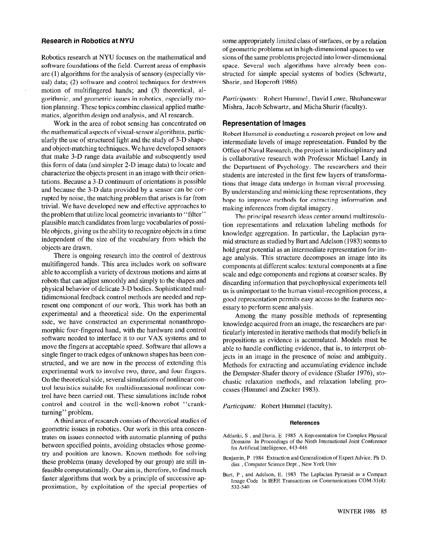#### Research in Robotics at NYU

Robotics research at NYU focuses on the mathematical and software foundations of the field. Current areas of emphasis are (1) algorithms for the analysis of sensory (especially visual) data; (2) software and control techniques for dextrous motion of multifingered hands; and (3) theoretical, algorithmic, and geometric issues in robotics, especially motion planning. These topics combine classical applied mathematics, algorithm design and analysis, and AI research.

Work in the area of robot sensing has concentrated on the mathematical aspects of visual-sensor algorithms, particularly the use of structured light and the study of 3-D shapeand object-matching techniques. We have developed sensors that make 3-D range data available and subsequently used this form of data (and simpler 2-D image data) to locate and characterize the objects present in an image with their orientations. Because a 3-D continuum of orientations is possible and because the 3-D data provided by a sensor can be corrupted by noise, the matching problem that arises is far from trivial. We have developed new and effective approaches to the problem that utilize local geometric invariants to "filter" plausible match candidates from large vocabularies of possible objects, giving us the ability to recognize objects in a time independent of the size of the vocabulary from which the objects are drawn.

There is ongoing research into the control of dextrous multifingered hands. This area includes work on software able to accomplish a variety of dextrous motions and aims at robots that can adjust smoothly and simply to the shapes and physical behavior of delicate 3-D bodies. Sophisticated multidimensional feedback control methods are needed and represent one component of our work, This work has both an experimental and a theoretical side. On the experimental side, we have constructed an experimental nonanthropomorphic four-fingered hand, with the hardware and control software needed to interface it to our VAX systems and to move the fingers at acceptable speed. Software that allows a single finger to track edges of unknown shapes has been constructed, and we are now in the process of extending this experimental work to involve two, three, and four fingers. On the theoretical side, several simulations of nonlinear control heuristics suitable for multidimensional nonlinear control have been carried out. These simulations include robot control and control in the well-known robot "crankturning" problem.

A third area of research consists of theoretical studies of geometric issues in robotics. Our work in this area concentrates on issues connected with automatic planning of paths between specified points, avoiding obstacles whose geometry and position are known. Known methods for solving these problems (many developed by our group) are still infeasible computationally. Our aim is, therefore, to find much faster algorithms that work by a principle of successive approximation, by exploitation of the special properties of

some appropriately limited class of surfaces, or by a relation of geometric problems set in high-dimensional spaces to versions of the same problems projected into lower-dimensional space. Several such algorithms have already been constructed for simple special systems of bodies (Schwartz, Sharir, and Hopcroft 1986).

Participants: Robert Hummel, David Lowe, Bhubaneswar Mishra, Jacob Schwartz, and Micha Sharir (faculty).

#### Representation of Images

Robert Hummel is conducting a research project on low and intermediate levels of image representation. Funded by the Office of Naval Research, the project is interdisciplinary and is collaborative research with Professor Michael Landy in the Department of Psychology. The researchers and their students are interested in the first few layers of transformations that image data undergo in human visual processing. By understanding and mimicking these representations, they hope to improve methods for extracting information and making inferences from digital imagery.

The principal research ideas center around multiresolution representations and relaxation labeling methods for knowledge aggregation. In particular, the Laplacian pyramid structure as studied by Burt and Adelson (1983) seems to hold great potential as an intermediate representation for image analysis. This structure decomposes an image into its components at different scales: textural components at a fine scale and edge components and regions at coarser scales. By discarding information that psychophysical experiments tell us is unimportant to the human visual-recognition process, a good representation permits easy access to the features necessary to perform scene analysis.

Among the many possible methods of representing knowledge acquired from an image, the researchers are particularly interested in iterative methods that modify beliefs in propositions as evidence is accumulated. Models must be able to handle conflicting evidence, that is, to interpret objects in an image in the presence of noise and ambiguity. Methods for extracting and accumulating evidence include the Dempster-Shafer theory of evidence (Shafer 1976), stochastic relaxation methods, and relaxation labeling processes (Hummel and Zucker 1983).

Participant: Robert Hummel (faculty).

#### References

- Addanki, S , and Davis, E 1985 A Representation for Complex Physical Domains In Proceedings of the Ninth International Joint Conference fol At tificial Intelligence, 443-446
- Benjamin, P 1984 Extraction and Generalization of Expert Advice. Ph D. diss , Computer Science Dept., New York Univ
- Burt, P , and Adelson, E. 1983 The Laplacian Pyramid as a Compact Image Code In IEEE Transactions on Communications COM-31(4): 532-540